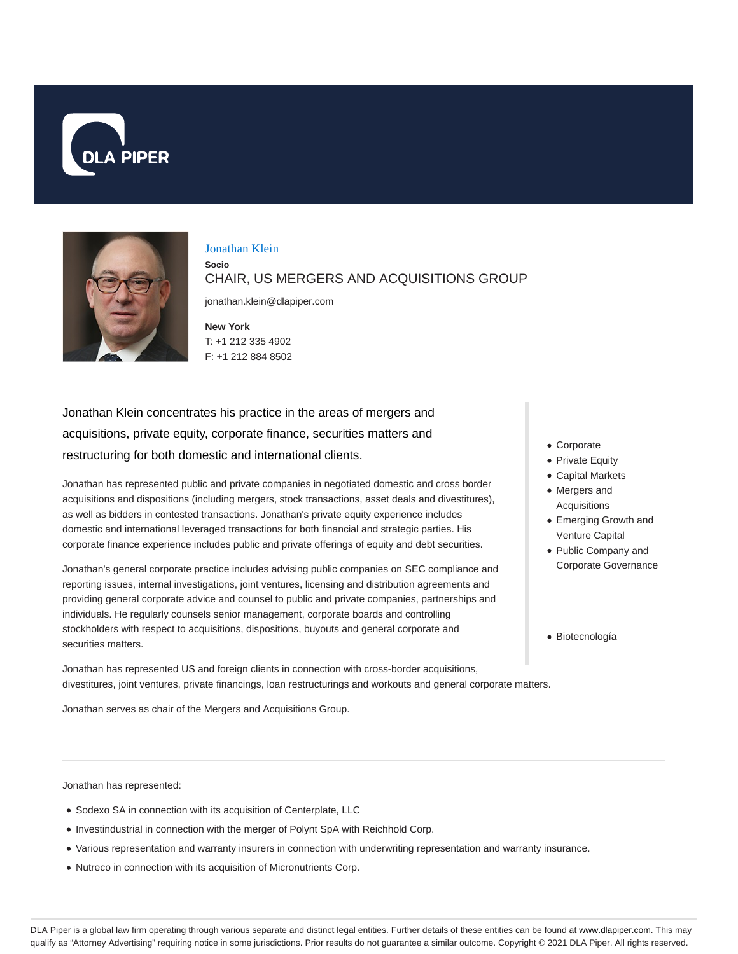



#### Jonathan Klein

**Socio**

CHAIR, US MERGERS AND ACQUISITIONS GROUP

jonathan.klein@dlapiper.com

**New York** T: +1 212 335 4902 F: +1 212 884 8502

Jonathan Klein concentrates his practice in the areas of mergers and acquisitions, private equity, corporate finance, securities matters and restructuring for both domestic and international clients.

Jonathan has represented public and private companies in negotiated domestic and cross border acquisitions and dispositions (including mergers, stock transactions, asset deals and divestitures), as well as bidders in contested transactions. Jonathan's private equity experience includes domestic and international leveraged transactions for both financial and strategic parties. His corporate finance experience includes public and private offerings of equity and debt securities.

Jonathan's general corporate practice includes advising public companies on SEC compliance and reporting issues, internal investigations, joint ventures, licensing and distribution agreements and providing general corporate advice and counsel to public and private companies, partnerships and individuals. He regularly counsels senior management, corporate boards and controlling stockholders with respect to acquisitions, dispositions, buyouts and general corporate and securities matters.

Jonathan has represented US and foreign clients in connection with cross-border acquisitions, divestitures, joint ventures, private financings, loan restructurings and workouts and general corporate matters.

Jonathan serves as chair of the Mergers and Acquisitions Group.

- Corporate
- Private Equity
- Capital Markets Mergers and Acquisitions
- Emerging Growth and Venture Capital
- Public Company and

Corporate Governance

Biotecnología

Jonathan has represented:

- Sodexo SA in connection with its acquisition of Centerplate, LLC
- Investindustrial in connection with the merger of Polynt SpA with Reichhold Corp.
- Various representation and warranty insurers in connection with underwriting representation and warranty insurance.
- Nutreco in connection with its acquisition of Micronutrients Corp.

DLA Piper is a global law firm operating through various separate and distinct legal entities. Further details of these entities can be found at www.dlapiper.com. This may qualify as "Attorney Advertising" requiring notice in some jurisdictions. Prior results do not guarantee a similar outcome. Copyright © 2021 DLA Piper. All rights reserved.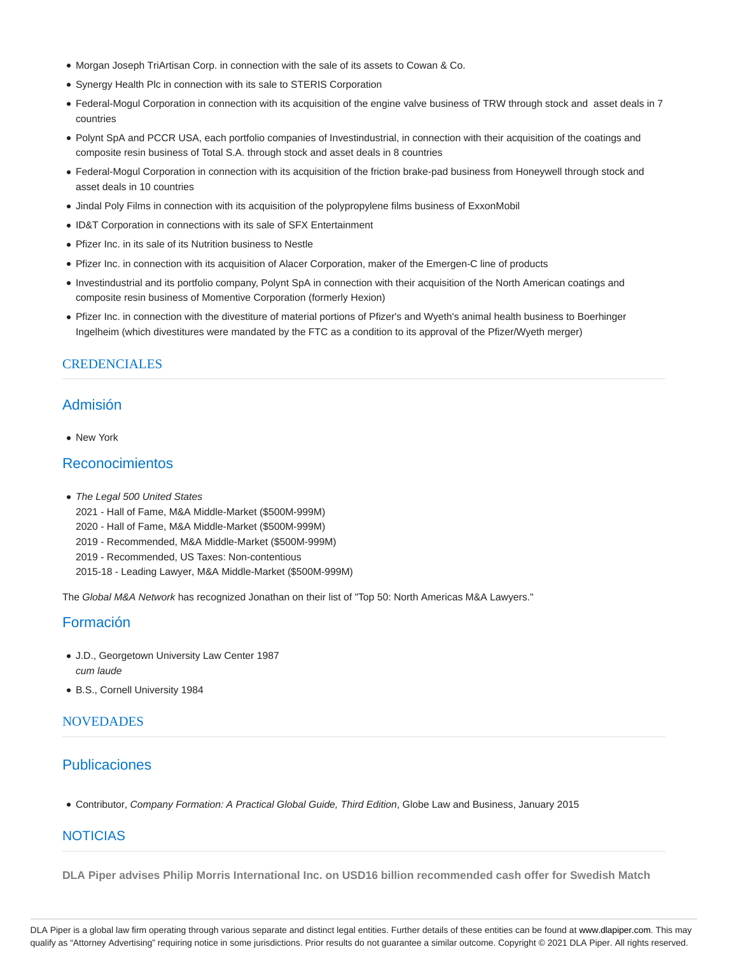- Morgan Joseph TriArtisan Corp. in connection with the sale of its assets to Cowan & Co.
- Synergy Health Plc in connection with its sale to STERIS Corporation
- Federal-Mogul Corporation in connection with its acquisition of the engine valve business of TRW through stock and asset deals in 7 countries
- Polynt SpA and PCCR USA, each portfolio companies of Investindustrial, in connection with their acquisition of the coatings and composite resin business of Total S.A. through stock and asset deals in 8 countries
- Federal-Mogul Corporation in connection with its acquisition of the friction brake-pad business from Honeywell through stock and asset deals in 10 countries
- Jindal Poly Films in connection with its acquisition of the polypropylene films business of ExxonMobil
- ID&T Corporation in connections with its sale of SFX Entertainment
- Pfizer Inc. in its sale of its Nutrition business to Nestle
- Pfizer Inc. in connection with its acquisition of Alacer Corporation, maker of the Emergen-C line of products
- Investindustrial and its portfolio company, Polynt SpA in connection with their acquisition of the North American coatings and composite resin business of Momentive Corporation (formerly Hexion)
- Pfizer Inc. in connection with the divestiture of material portions of Pfizer's and Wyeth's animal health business to Boerhinger Ingelheim (which divestitures were mandated by the FTC as a condition to its approval of the Pfizer/Wyeth merger)

### **CREDENCIALES**

# Admisión

• New York

# Reconocimientos

- The Legal 500 United States
	- 2021 Hall of Fame, M&A Middle-Market (\$500M-999M)
	- 2020 Hall of Fame, M&A Middle-Market (\$500M-999M)
	- 2019 Recommended, M&A Middle-Market (\$500M-999M)
	- 2019 Recommended, US Taxes: Non-contentious
	- 2015-18 Leading Lawyer, M&A Middle-Market (\$500M-999M)

The Global M&A Network has recognized Jonathan on their list of "Top 50: North Americas M&A Lawyers."

## Formación

- J.D., Georgetown University Law Center 1987 cum laude
- B.S., Cornell University 1984

### **NOVEDADES**

# Publicaciones

Contributor, Company Formation: A Practical Global Guide, Third Edition, Globe Law and Business, January 2015

## NOTICIAS

**DLA Piper advises Philip Morris International Inc. on USD16 billion recommended cash offer for Swedish Match**

DLA Piper is a global law firm operating through various separate and distinct legal entities. Further details of these entities can be found at www.dlapiper.com. This may qualify as "Attorney Advertising" requiring notice in some jurisdictions. Prior results do not guarantee a similar outcome. Copyright © 2021 DLA Piper. All rights reserved.